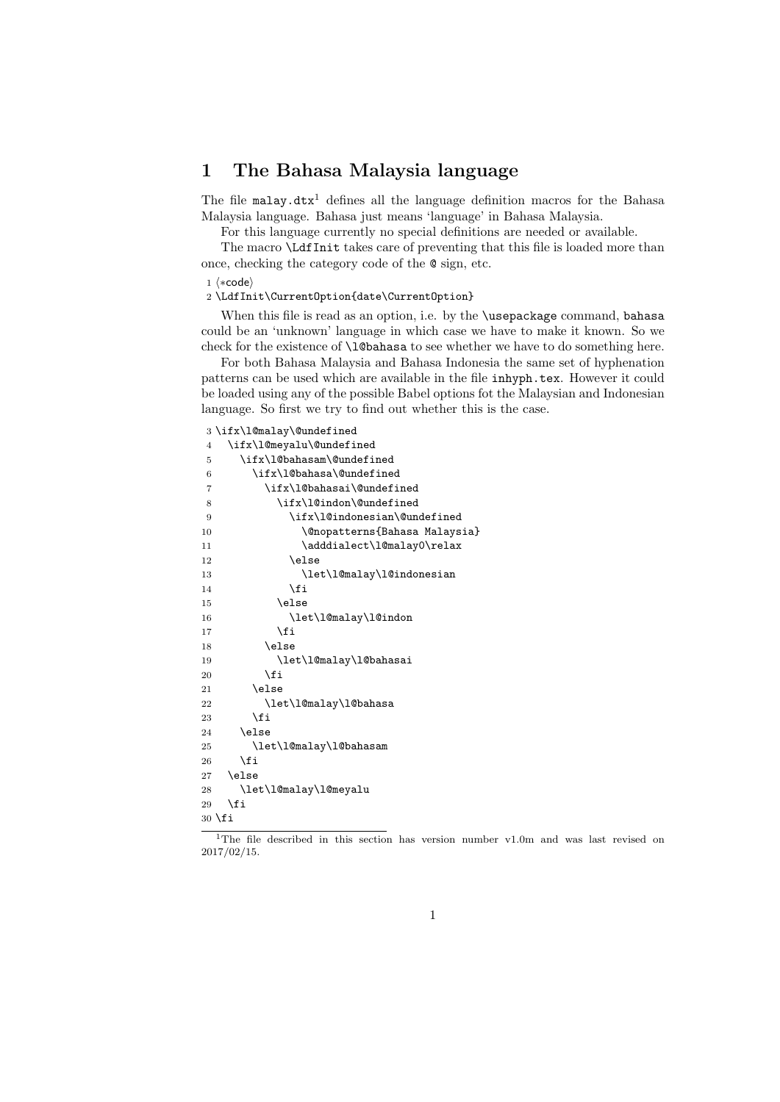## 1 The Bahasa Malaysia language

The file malay.dtx<sup>1</sup> defines all the language definition macros for the Bahasa Malaysia language. Bahasa just means 'language' in Bahasa Malaysia.

For this language currently no special definitions are needed or available.

The macro \LdfInit takes care of preventing that this file is loaded more than once, checking the category code of the @ sign, etc.

1 (\*code)

\LdfInit\CurrentOption{date\CurrentOption}

When this file is read as an option, i.e. by the **\usepackage** command, bahasa could be an 'unknown' language in which case we have to make it known. So we check for the existence of **\l@bahasa** to see whether we have to do something here.

For both Bahasa Malaysia and Bahasa Indonesia the same set of hyphenation patterns can be used which are available in the file inhyph.tex. However it could be loaded using any of the possible Babel options fot the Malaysian and Indonesian language. So first we try to find out whether this is the case.

## \ifx\l@malay\@undefined

| $\overline{4}$ | \ifx\l@meyalu\@undefined      |
|----------------|-------------------------------|
| 5              | \ifx\l@bahasam\@undefined     |
| 6              | \ifx\1@bahasa\@undefined      |
| $\overline{7}$ | \ifx\1@bahasai\@undefined     |
| 8              | \ifx\l@indon\@undefined       |
| 9              | \ifx\l@indonesian\@undefined  |
| 10             | \@nopatterns{Bahasa Malaysia} |
| 11             | \adddialect\l@malay0\relax    |
| 12             | \else                         |
| 13             | \let\l@malay\l@indonesian     |
| 14             | \fi                           |
| 15             | \else                         |
| 16             | \let\l@malay\l@indon          |
| 17             | \fi                           |
| 18             | \else                         |
| 19             | \let\l@malay\l@bahasai        |
| 20             | \fi                           |
| 21             | \else                         |
| 22             | \let\l@malay\l@bahasa         |
| 23             | \fi                           |
| 24             | \else                         |
| 25             | \let\l@malay\l@bahasam        |
| 26             | \fi                           |
| 27             | \else                         |
| 28             | \let\l@malay\l@meyalu         |
| 29             | \fi                           |
| 30 \fi         |                               |

<sup>&</sup>lt;sup>1</sup>The file described in this section has version number v1.0m and was last revised on 2017/02/15.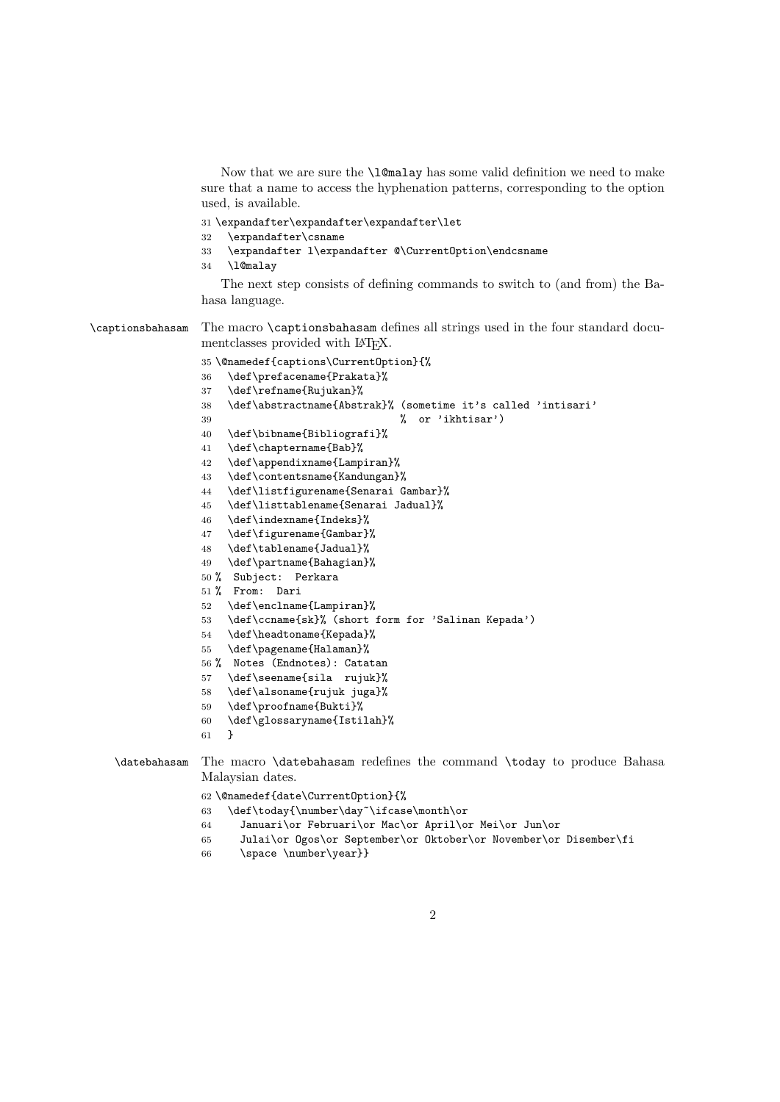Now that we are sure the \l@malay has some valid definition we need to make sure that a name to access the hyphenation patterns, corresponding to the option used, is available.

- \expandafter\expandafter\expandafter\let
- \expandafter\csname
- \expandafter l\expandafter @\CurrentOption\endcsname
- \l@malay

The next step consists of defining commands to switch to (and from) the Bahasa language.

\captionsbahasam The macro \captionsbahasam defines all strings used in the four standard documentclasses provided with L<sup>AT</sup>FX.

\@namedef{captions\CurrentOption}{%

- \def\prefacename{Prakata}%
- \def\refname{Rujukan}%
- \def\abstractname{Abstrak}% (sometime it's called 'intisari'
- % or 'ikhtisar')
- \def\bibname{Bibliografi}%
- \def\chaptername{Bab}%
- \def\appendixname{Lampiran}%
- \def\contentsname{Kandungan}%
- \def\listfigurename{Senarai Gambar}%
- \def\listtablename{Senarai Jadual}%
- \def\indexname{Indeks}%
- \def\figurename{Gambar}%
- \def\tablename{Jadual}%
- \def\partname{Bahagian}%
- % Subject: Perkara
- % From: Dari
- \def\enclname{Lampiran}%
- \def\ccname{sk}% (short form for 'Salinan Kepada')
- \def\headtoname{Kepada}%
- \def\pagename{Halaman}%
- % Notes (Endnotes): Catatan
- \def\seename{sila rujuk}%
- \def\alsoname{rujuk juga}%
- \def\proofname{Bukti}%
- \def\glossaryname{Istilah}%
- }

\datebahasam The macro \datebahasam redefines the command \today to produce Bahasa Malaysian dates.

\@namedef{date\CurrentOption}{%

- \def\today{\number\day~\ifcase\month\or
- Januari\or Februari\or Mac\or April\or Mei\or Jun\or
- Julai\or Ogos\or September\or Oktober\or November\or Disember\fi
- 66 \space \number\year}}